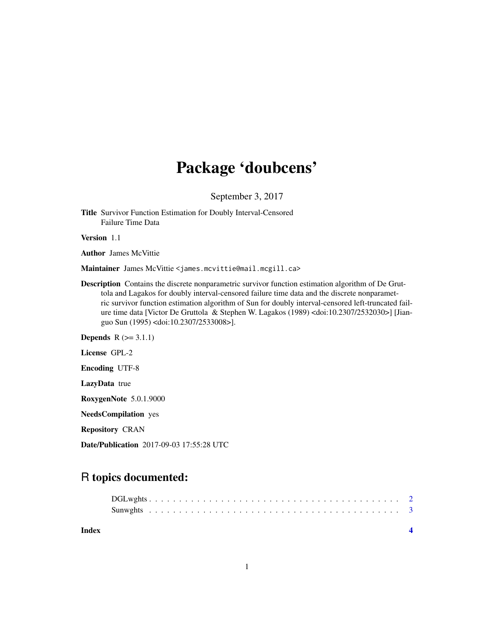## Package 'doubcens'

September 3, 2017

Title Survivor Function Estimation for Doubly Interval-Censored Failure Time Data

Version 1.1

Author James McVittie

Maintainer James McVittie <james.mcvittie@mail.mcgill.ca>

Description Contains the discrete nonparametric survivor function estimation algorithm of De Gruttola and Lagakos for doubly interval-censored failure time data and the discrete nonparametric survivor function estimation algorithm of Sun for doubly interval-censored left-truncated failure time data [Victor De Gruttola & Stephen W. Lagakos (1989) <doi:10.2307/2532030>] [Jianguo Sun (1995) <doi:10.2307/2533008>].

**Depends**  $R$  ( $>= 3.1.1$ )

License GPL-2

Encoding UTF-8

LazyData true

RoxygenNote 5.0.1.9000

NeedsCompilation yes

Repository CRAN

Date/Publication 2017-09-03 17:55:28 UTC

### R topics documented:

| Index |  |  |  |  |  |  |  |  |  |  |  |  |  |  |  |  |
|-------|--|--|--|--|--|--|--|--|--|--|--|--|--|--|--|--|
|       |  |  |  |  |  |  |  |  |  |  |  |  |  |  |  |  |
|       |  |  |  |  |  |  |  |  |  |  |  |  |  |  |  |  |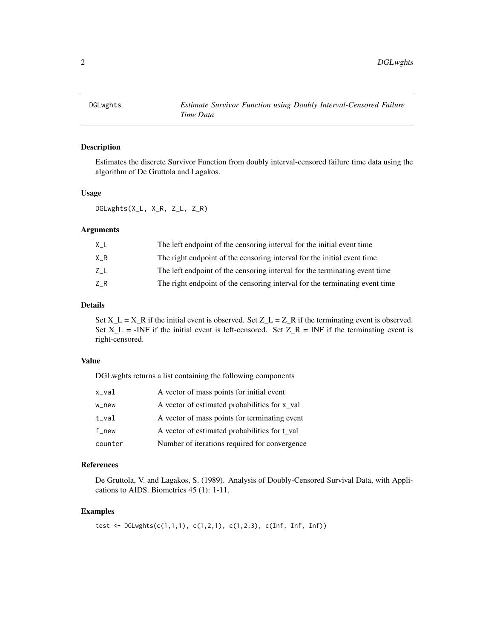<span id="page-1-0"></span>

#### Description

Estimates the discrete Survivor Function from doubly interval-censored failure time data using the algorithm of De Gruttola and Lagakos.

#### Usage

DGLwghts(X\_L, X\_R, Z\_L, Z\_R)

#### Arguments

| ΧL  | The left endpoint of the censoring interval for the initial event time      |
|-----|-----------------------------------------------------------------------------|
| X R | The right endpoint of the censoring interval for the initial event time     |
| ΖL  | The left endpoint of the censoring interval for the terminating event time  |
| ZR. | The right endpoint of the censoring interval for the terminating event time |

#### Details

Set  $X_L = X_R$  if the initial event is observed. Set  $Z_L = Z_R$  if the terminating event is observed. Set  $X_L$  = -INF if the initial event is left-censored. Set  $Z_R$  = INF if the terminating event is right-censored.

#### Value

DGLwghts returns a list containing the following components

| x_val              | A vector of mass points for initial event     |
|--------------------|-----------------------------------------------|
| w_new              | A vector of estimated probabilities for x_val |
| $t$ _val           | A vector of mass points for terminating event |
| $f$ <sub>new</sub> | A vector of estimated probabilities for t_val |
| counter            | Number of iterations required for convergence |

#### References

De Gruttola, V. and Lagakos, S. (1989). Analysis of Doubly-Censored Survival Data, with Applications to AIDS. Biometrics 45 (1): 1-11.

#### Examples

test <- DGLwghts( $c(1,1,1)$ ,  $c(1,2,1)$ ,  $c(1,2,3)$ ,  $c(Inf, Inf, Inf)$ )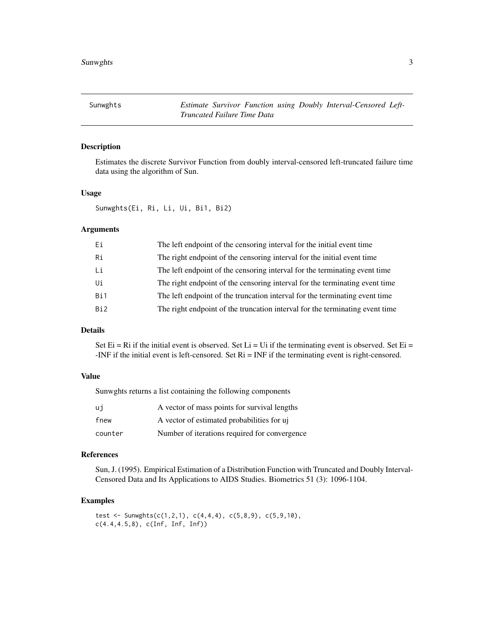<span id="page-2-0"></span>

#### Description

Estimates the discrete Survivor Function from doubly interval-censored left-truncated failure time data using the algorithm of Sun.

#### Usage

Sunwghts(Ei, Ri, Li, Ui, Bi1, Bi2)

#### **Arguments**

| Ei              | The left endpoint of the censoring interval for the initial event time       |
|-----------------|------------------------------------------------------------------------------|
| Ri              | The right endpoint of the censoring interval for the initial event time      |
| Li              | The left endpoint of the censoring interval for the terminating event time   |
| Ui              | The right endpoint of the censoring interval for the terminating event time  |
| Bi1             | The left endpoint of the truncation interval for the terminating event time  |
| Bi <sub>2</sub> | The right endpoint of the truncation interval for the terminating event time |
|                 |                                                                              |

#### Details

Set Ei = Ri if the initial event is observed. Set Li = Ui if the terminating event is observed. Set Ei = -INF if the initial event is left-censored. Set Ri = INF if the terminating event is right-censored.

#### Value

Sunwghts returns a list containing the following components

| ui      | A vector of mass points for survival lengths  |
|---------|-----------------------------------------------|
| fnew    | A vector of estimated probabilities for uj    |
| counter | Number of iterations required for convergence |

#### References

Sun, J. (1995). Empirical Estimation of a Distribution Function with Truncated and Doubly Interval-Censored Data and Its Applications to AIDS Studies. Biometrics 51 (3): 1096-1104.

#### Examples

```
test <- Sunwghts(c(1,2,1), c(4,4,4), c(5,8,9), c(5,9,10),
c(4.4, 4.5, 8), c(Inf, Inf, Inf))
```